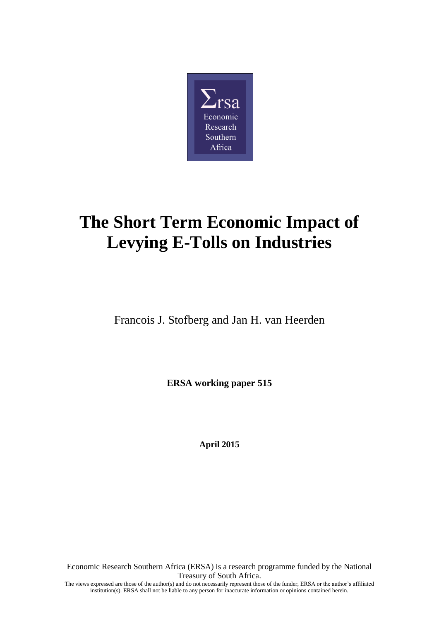

# **The Short Term Economic Impact of Levying E-Tolls on Industries**

Francois J. Stofberg and Jan H. van Heerden

**ERSA working paper 515**

**April 2015**

Economic Research Southern Africa (ERSA) is a research programme funded by the National Treasury of South Africa. The views expressed are those of the author(s) and do not necessarily represent those of the funder, ERSA or the author's affiliated institution(s). ERSA shall not be liable to any person for inaccurate information or opinions contained herein.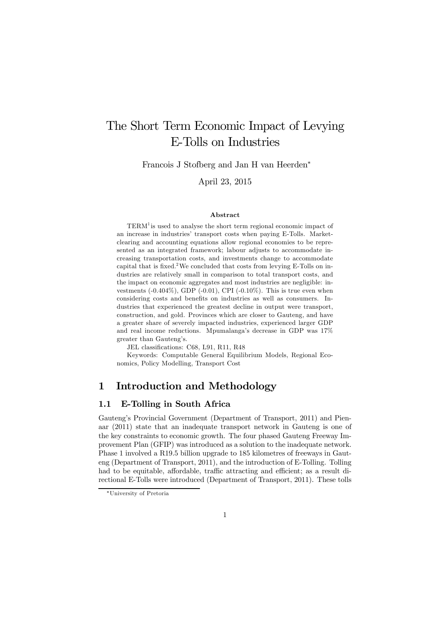## The Short Term Economic Impact of Levying E-Tolls on Industries

Francois J Stofberg and Jan H van Heerden<sup>∗</sup>

April 23, 2015

#### Abstract

TERM<sup>1</sup> is used to analyse the short term regional economic impact of an increase in industries' transport costs when paying E-Tolls. Marketclearing and accounting equations allow regional economies to be represented as an integrated framework; labour adjusts to accommodate increasing transportation costs, and investments change to accommodate capital that is fixed.<sup>2</sup>We concluded that costs from levying E-Tolls on industries are relatively small in comparison to total transport costs, and the impact on economic aggregates and most industries are negligible: investments  $(-0.404\%)$ , GDP  $(-0.01)$ , CPI  $(-0.10\%)$ . This is true even when considering costs and benefits on industries as well as consumers. Industries that experienced the greatest decline in output were transport, construction, and gold. Provinces which are closer to Gauteng, and have a greater share of severely impacted industries, experienced larger GDP and real income reductions. Mpumalanga's decrease in GDP was 17% greater than Gauteng's.

JEL classifications: C68, L91, R11, R48

Keywords: Computable General Equilibrium Models, Regional Economics, Policy Modelling, Transport Cost

## 1 Introduction and Methodology

## 1.1 E-Tolling in South Africa

Gauteng's Provincial Government (Department of Transport, 2011) and Pienaar (2011) state that an inadequate transport network in Gauteng is one of the key constraints to economic growth. The four phased Gauteng Freeway Improvement Plan (GFIP) was introduced as a solution to the inadequate network. Phase 1 involved a R19.5 billion upgrade to 185 kilometres of freeways in Gauteng (Department of Transport, 2011), and the introduction of E-Tolling. Tolling had to be equitable, affordable, traffic attracting and efficient; as a result directional E-Tolls were introduced (Department of Transport, 2011). These tolls

<sup>∗</sup>University of Pretoria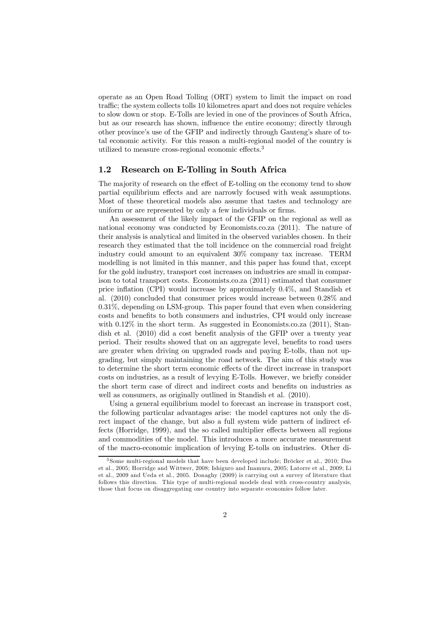operate as an Open Road Tolling (ORT) system to limit the impact on road traffic; the system collects tolls 10 kilometres apart and does not require vehicles to slow down or stop. E-Tolls are levied in one of the provinces of South Africa, but as our research has shown, influence the entire economy; directly through other province's use of the GFIP and indirectly through Gauteng's share of total economic activity. For this reason a multi-regional model of the country is utilized to measure cross-regional economic effects.<sup>3</sup>

#### 1.2 Research on E-Tolling in South Africa

The majority of research on the effect of E-tolling on the economy tend to show partial equilibrium effects and are narrowly focused with weak assumptions. Most of these theoretical models also assume that tastes and technology are uniform or are represented by only a few individuals or firms.

An assessment of the likely impact of the GFIP on the regional as well as national economy was conducted by Economists.co.za (2011). The nature of their analysis is analytical and limited in the observed variables chosen. In their research they estimated that the toll incidence on the commercial road freight industry could amount to an equivalent 30% company tax increase. TERM modelling is not limited in this manner, and this paper has found that, except for the gold industry, transport cost increases on industries are small in comparison to total transport costs. Economists.co.za (2011) estimated that consumer price inflation (CPI) would increase by approximately 0.4%, and Standish et al. (2010) concluded that consumer prices would increase between 0.28% and 0.31%, depending on LSM-group. This paper found that even when considering costs and benefits to both consumers and industries, CPI would only increase with  $0.12\%$  in the short term. As suggested in Economists.co.za (2011), Standish et al. (2010) did a cost benefit analysis of the GFIP over a twenty year period. Their results showed that on an aggregate level, benefits to road users are greater when driving on upgraded roads and paying E-tolls, than not upgrading, but simply maintaining the road network. The aim of this study was to determine the short term economic effects of the direct increase in transport costs on industries, as a result of levying E-Tolls. However, we briefly consider the short term case of direct and indirect costs and benefits on industries as well as consumers, as originally outlined in Standish et al. (2010).

Using a general equilibrium model to forecast an increase in transport cost, the following particular advantages arise: the model captures not only the direct impact of the change, but also a full system wide pattern of indirect effects (Horridge, 1999), and the so called multiplier effects between all regions and commodities of the model. This introduces a more accurate measurement of the macro-economic implication of levying E-tolls on industries. Other di-

<sup>3</sup> Some multi-regional models that have been developed include; Bröcker et al., 2010; Das et al., 2005; Horridge and Wittwer, 2008; Ishiguro and Inamura, 2005; Latorre et al., 2009; Li et al., 2009 and Ueda et al., 2005. Donaghy (2009) is carrying out a survey of literature that follows this direction. This type of multi-regional models deal with cross-country analysis, those that focus on disaggregating one country into separate economies follow later.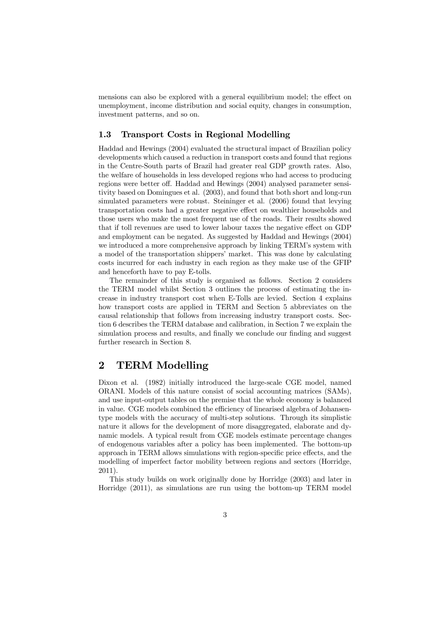mensions can also be explored with a general equilibrium model; the effect on unemployment, income distribution and social equity, changes in consumption, investment patterns, and so on.

## 1.3 Transport Costs in Regional Modelling

Haddad and Hewings (2004) evaluated the structural impact of Brazilian policy developments which caused a reduction in transport costs and found that regions in the Centre-South parts of Brazil had greater real GDP growth rates. Also, the welfare of households in less developed regions who had access to producing regions were better off. Haddad and Hewings (2004) analysed parameter sensitivity based on Domingues et al. (2003), and found that both short and long-run simulated parameters were robust. Steininger et al. (2006) found that levying transportation costs had a greater negative effect on wealthier households and those users who make the most frequent use of the roads. Their results showed that if toll revenues are used to lower labour taxes the negative effect on GDP and employment can be negated. As suggested by Haddad and Hewings (2004) we introduced a more comprehensive approach by linking TERM's system with a model of the transportation shippers' market. This was done by calculating costs incurred for each industry in each region as they make use of the GFIP and henceforth have to pay E-tolls.

The remainder of this study is organised as follows. Section 2 considers the TERM model whilst Section 3 outlines the process of estimating the increase in industry transport cost when E-Tolls are levied. Section 4 explains how transport costs are applied in TERM and Section 5 abbreviates on the causal relationship that follows from increasing industry transport costs. Section 6 describes the TERM database and calibration, in Section 7 we explain the simulation process and results, and finally we conclude our finding and suggest further research in Section 8.

## 2 TERM Modelling

Dixon et al. (1982) initially introduced the large-scale CGE model, named ORANI. Models of this nature consist of social accounting matrices (SAMs), and use input-output tables on the premise that the whole economy is balanced in value. CGE models combined the efficiency of linearised algebra of Johansentype models with the accuracy of multi-step solutions. Through its simplistic nature it allows for the development of more disaggregated, elaborate and dynamic models. A typical result from CGE models estimate percentage changes of endogenous variables after a policy has been implemented. The bottom-up approach in TERM allows simulations with region-specific price effects, and the modelling of imperfect factor mobility between regions and sectors (Horridge, 2011).

This study builds on work originally done by Horridge (2003) and later in Horridge (2011), as simulations are run using the bottom-up TERM model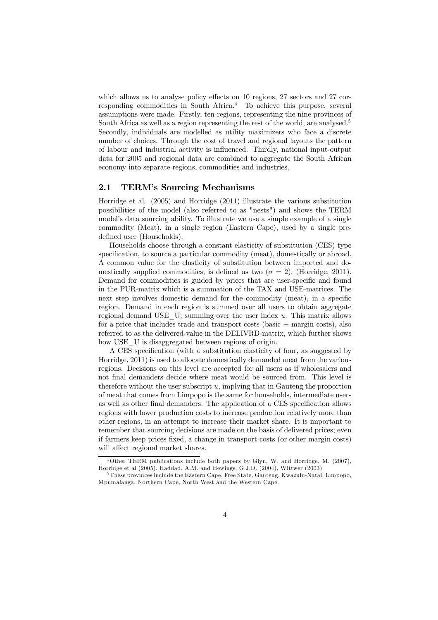which allows us to analyse policy effects on 10 regions, 27 sectors and 27 corresponding commodities in South Africa.<sup>4</sup> To achieve this purpose, several assumptions were made. Firstly, ten regions, representing the nine provinces of South Africa as well as a region representing the rest of the world, are analysed.<sup>5</sup> Secondly, individuals are modelled as utility maximizers who face a discrete number of choices. Through the cost of travel and regional layouts the pattern of labour and industrial activity is influenced. Thirdly, national input-output data for 2005 and regional data are combined to aggregate the South African economy into separate regions, commodities and industries.

#### 2.1 TERM's Sourcing Mechanisms

Horridge et al. (2005) and Horridge (2011) illustrate the various substitution possibilities of the model (also referred to as "nests") and shows the TERM model's data sourcing ability. To illustrate we use a simple example of a single commodity (Meat), in a single region (Eastern Cape), used by a single predefined user (Households).

Households choose through a constant elasticity of substitution (CES) type specification, to source a particular commodity (meat), domestically or abroad. A common value for the elasticity of substitution between imported and domestically supplied commodities, is defined as two ( $\sigma = 2$ ), (Horridge, 2011). Demand for commodities is guided by prices that are user-specific and found in the PUR-matrix which is a summation of the TAX and USE-matrices. The next step involves domestic demand for the commodity (meat), in a specific region. Demand in each region is summed over all users to obtain aggregate regional demand USE  $U$ ; summing over the user index u. This matrix allows for a price that includes trade and transport costs (basic + margin costs), also referred to as the delivered-value in the DELIVRD-matrix, which further shows how USE U is disaggregated between regions of origin.

A CES specification (with a substitution elasticity of four, as suggested by Horridge, 2011) is used to allocate domestically demanded meat from the various regions. Decisions on this level are accepted for all users as if wholesalers and not final demanders decide where meat would be sourced from. This level is therefore without the user subscript  $u$ , implying that in Gauteng the proportion of meat that comes from Limpopo is the same for households, intermediate users as well as other final demanders. The application of a CES specification allows regions with lower production costs to increase production relatively more than other regions, in an attempt to increase their market share. It is important to remember that sourcing decisions are made on the basis of delivered prices; even if farmers keep prices fixed, a change in transport costs (or other margin costs) will affect regional market shares.

<sup>4</sup>Other TERM publications include both papers by Glyn, W. and Horridge, M. (2007), Horridge et al (2005), Haddad, A.M. and Hewings, G.J.D. (2004), Wittwer (2003)

<sup>&</sup>lt;sup>5</sup> These provinces include the Eastern Cape, Free State, Gauteng, Kwazulu-Natal, Limpopo, Mpumalanga, Northern Cape, North West and the Western Cape.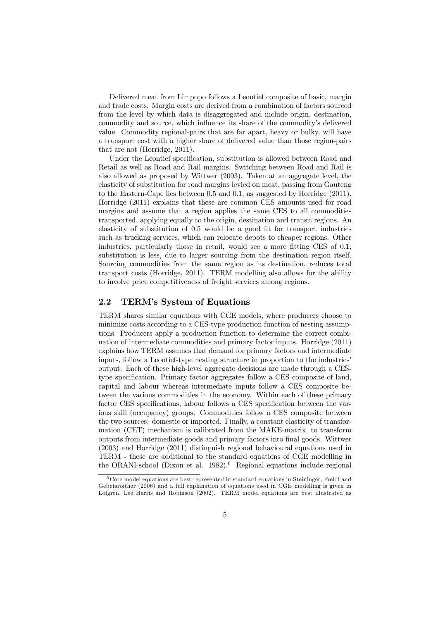Delivered meat from Limpopo follows a Leontief composite of basic, margin and trade costs. Margin costs are derived from a combination of factors sourced from the level by which data is disaggregated and include origin, destination, commodity and source, which influence its share of the commodity's delivered value. Commodity regional-pairs that are far apart, heavy or bulky, will have a transport cost with a higher share of delivered value than those region-pairs that are not (Horridge, 2011).

Under the Leontief specification, substitution is allowed between Road and Retail as well as Road and Rail margins. Switching between Road and Rail is also allowed as proposed by Wittwer (2003). Taken at an aggregate level, the elasticity of substitution for road margins levied on meat, passing from Gauteng to the Eastern-Cape lies between 0.5 and 0.1, as suggested by Horridge (2011). Horridge (2011) explains that these are common CES amounts used for road margins and assume that a region applies the same CES to all commodities transported, applying equally to the origin, destination and transit regions. An elasticity of substitution of 0.5 would be a good fit for transport industries such as trucking services, which can relocate depots to cheaper regions. Other industries, particularly those in retail, would see a more fitting CES of 0.1; substitution is less, due to larger sourcing from the destination region itself. Sourcing commodities from the same region as its destination, reduces total transport costs (Horridge, 2011). TERM modelling also allows for the ability to involve price competitiveness of freight services among regions.

## 2.2 TERM's System of Equations

TERM shares similar equations with CGE models, where producers choose to minimize costs according to a CES-type production function of nesting assumptions. Producers apply a production function to determine the correct combination of intermediate commodities and primary factor inputs. Horridge (2011) explains how TERM assumes that demand for primary factors and intermediate inputs, follow a Leontief-type nesting structure in proportion to the industries' output. Each of these high-level aggregate decisions are made through a CEStype specification. Primary factor aggregates follow a CES composite of land, capital and labour whereas intermediate inputs follow a CES composite between the various commodities in the economy. Within each of these primary factor CES specifications, labour follows a CES specification between the various skill (occupancy) groups. Commodities follow a CES composite between the two sources: domestic or imported. Finally, a constant elasticity of transformation (CET) mechanism is calibrated from the MAKE-matrix, to transform outputs from intermediate goods and primary factors into final goods. Wittwer (2003) and Horridge (2011) distinguish regional behavioural equations used in TERM - these are additional to the standard equations of CGE modelling in the ORANI-school (Dixon et al. 1982).<sup>6</sup> Regional equations include regional

 $6$  Core model equations are best represented in standard equations in Steininger, Freidl and Gebetsroither (2006) and a full explanation of equations used in CGE modelling is given in Lofgren, Lee Harris and Robinson (2002). TERM model equations are best illustrated as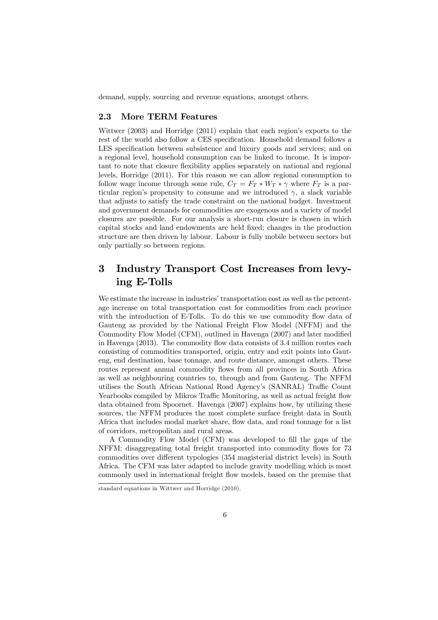demand, supply, sourcing and revenue equations, amongst others.

#### 2.3 More TERM Features

Wittwer (2003) and Horridge (2011) explain that each region's exports to the rest of the world also follow a CES specification. Household demand follows a LES specification between subsistence and luxury goods and services; and on a regional level, household consumption can be linked to income. It is important to note that closure flexibility applies separately on national and regional levels, Horridge (2011). For this reason we can allow regional consumption to follow wage income through some rule,  $C_T = F_T * W_T * \gamma$  where  $F_T$  is a particular region's propensity to consume and we introduced  $\gamma$ , a slack variable that adjusts to satisfy the trade constraint on the national budget. Investment and government demands for commodities are exogenous and a variety of model closures are possible. For our analysis a short-run closure is chosen in which capital stocks and land endowments are held fixed; changes in the production structure are then driven by labour. Labour is fully mobile between sectors but only partially so between regions.

## 3 Industry Transport Cost Increases from levying E-Tolls

We estimate the increase in industries' transportation cost as well as the percentage increase on total transportation cost for commodities from each province with the introduction of E-Tolls. To do this we use commodity flow data of Gauteng as provided by the National Freight Flow Model (NFFM) and the Commodity Flow Model (CFM), outlined in Havenga (2007) and later modified in Havenga (2013). The commodity flow data consists of 3.4 million routes each consisting of commodities transported, origin, entry and exit points into Gauteng, end destination, base tonnage, and route distance, amongst others. These routes represent annual commodity flows from all provinces in South Africa as well as neighbouring countries to, through and from Gauteng. The NFFM utilises the South African National Road Agency's (SANRAL) Traffic Count Yearbooks compiled by Mikros Traffic Monitoring, as well as actual freight flow data obtained from Spoornet. Havenga (2007) explains how, by utilizing these sources, the NFFM produces the most complete surface freight data in South Africa that includes modal market share, flow data, and road tonnage for a list of corridors, metropolitan and rural areas.

A Commodity Flow Model (CFM) was developed to fill the gaps of the NFFM; disaggregating total freight transported into commodity flows for 73 commodities over different typologies (354 magisterial district levels) in South Africa. The CFM was later adapted to include gravity modelling which is most commonly used in international freight flow models, based on the premise that

standard equations in Wittwer and Horridge (2010).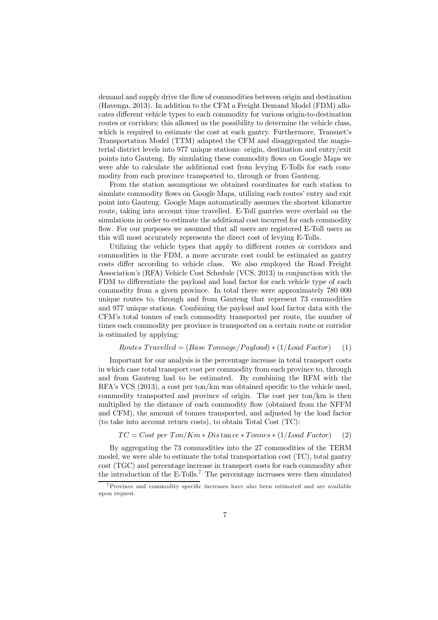demand and supply drive the flow of commodities between origin and destination (Havenga, 2013). In addition to the CFM a Freight Demand Model (FDM) allocates different vehicle types to each commodity for various origin-to-destination routes or corridors; this allowed us the possibility to determine the vehicle class, which is required to estimate the cost at each gantry. Furthermore, Transnet's Transportation Model (TTM) adapted the CFM and disaggregated the magisterial district levels into 977 unique stations: origin, destination and entry/exit points into Gauteng. By simulating these commodity flows on Google Maps we were able to calculate the additional cost from levying E-Tolls for each commodity from each province transported to, through or from Gauteng.

From the station assumptions we obtained coordinates for each station to simulate commodity flows on Google Maps, utilizing each routes' entry and exit point into Gauteng. Google Maps automatically assumes the shortest kilometre route, taking into account time travelled. E-Toll gantries were overlaid on the simulations in order to estimate the additional cost incurred for each commodity flow. For our purposes we assumed that all users are registered E-Toll users as this will most accurately represents the direct cost of levying E-Tolls.

Utilizing the vehicle types that apply to different routes or corridors and commodities in the FDM, a more accurate cost could be estimated as gantry costs differ according to vehicle class. We also employed the Road Freight Association's (RFA) Vehicle Cost Schedule (VCS, 2013) in conjunction with the FDM to differentiate the payload and load factor for each vehicle type of each commodity from a given province. In total there were approximately 780 000 unique routes to, through and from Gauteng that represent 73 commodities and 977 unique stations. Combining the payload and load factor data with the CFM's total tonnes of each commodity transported per route, the number of times each commodity per province is transported on a certain route or corridor is estimated by applying:

#### $Routers\ Travelled = (Base\ Tonnage/Payload) * (1/Load\ Factor)$  (1)

Important for our analysis is the percentage increase in total transport costs in which case total transport cost per commodity from each province to, through and from Gauteng had to be estimated. By combining the RFM with the RFA's VCS (2013), a cost per ton/km was obtained specific to the vehicle used, commodity transported and province of origin. The cost per ton/km is then multiplied by the distance of each commodity flow (obtained from the NFFM and CFM), the amount of tonnes transported, and adjusted by the load factor (to take into account return costs), to obtain Total Cost (TC):

$$
TC = Cost per Ton/Km * Dis \tan ce * Tomnes * (1/Load Factor)
$$
 (2)

By aggregating the 73 commodities into the 27 commodities of the TERM model, we were able to estimate the total transportation cost (TC), total gantry cost (TGC) and percentage increase in transport costs for each commodity after the introduction of the  $E$ -Tolls.<sup>7</sup> The percentage increases were then simulated

<sup>7</sup>Province and commodity specific increases have also been estimated and are available upon request.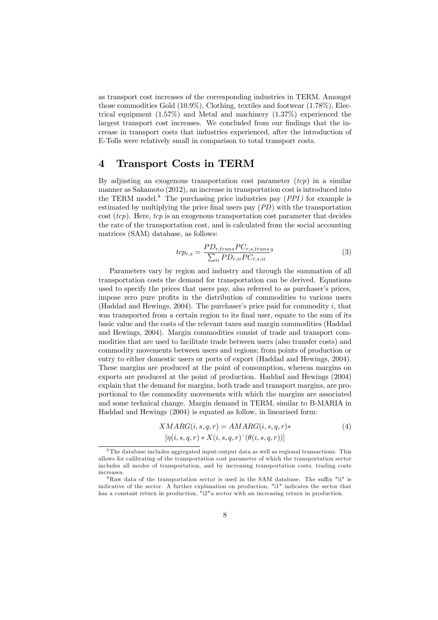as transport cost increases of the corresponding industries in TERM. Amongst those commodities Gold (10.9%), Clothing, textiles and footwear (1.78%), Electrical equipment (1.57%) and Metal and machinery (1.37%) experienced the largest transport cost increases. We concluded from our findings that the increase in transport costs that industries experienced, after the introduction of E-Tolls were relatively small in comparison to total transport costs.

## 4 Transport Costs in TERM

By adjusting an exogenous transportation cost parameter  $(tcp)$  in a similar manner as Sakamoto (2012), an increase in transportation cost is introduced into the TERM model.<sup>8</sup> The purchasing price industries pay  $(PPI)$  for example is estimated by multiplying the price final users pay (PD) with the transportation cost  $(tcp)$ . Here,  $tcp$  is an exogenous transportation cost parameter that decides the rate of the transportation cost, and is calculated from the social accounting matrices (SAM) database, as follows:

$$
t_{c p_{r,s}} = \frac{PD_{r, trans} PC_{r,s, trans}}{\sum_{ii} PD_{r, ii} PC_{r,s, ii}}
$$
\n
$$
\tag{3}
$$

Parameters vary by region and industry and through the summation of all transportation costs the demand for transportation can be derived. Equations used to specify the prices that users pay, also referred to as purchaser's prices, impose zero pure profits in the distribution of commodities to various users (Haddad and Hewings, 2004). The purchaser's price paid for commodity  $i$ , that was transported from a certain region to its final user, equate to the sum of its basic value and the costs of the relevant taxes and margin commodities (Haddad and Hewings, 2004). Margin commodities consist of trade and transport commodities that are used to facilitate trade between users (also transfer costs) and commodity movements between users and regions; from points of production or entry to either domestic users or ports of export (Haddad and Hewings, 2004). These margins are produced at the point of consumption, whereas margins on exports are produced at the point of production. Haddad and Hewings (2004) explain that the demand for margins, both trade and transport margins, are proportional to the commodity movements with which the margins are associated and some technical change. Margin demand in TERM, similar to B-MARIA in Haddad and Hewings (2004) is equated as follow, in linearised form:

$$
XMARG(i, s, q, r) = AMARG(i, s, q, r) *\n[\eta(i, s, q, r) * X(i, s, q, r)^( \theta(i, s, q, r))]
$$
\n(4)

<sup>8</sup> The database includes aggregated input-output data as well as regional transactions. This allows for calibrating of the transportation cost parameter of which the transportation sector includes all modes of transportation, and by increasing transportation costs, trading costs increases.

<sup>9</sup> Raw data of the transportation sector is used in the SAM database. The suffix "ii" is indicative of the sector. A further explanation on production; "i1" indicates the sector that has a constant return in production, "i2"a sector with an increasing return in production.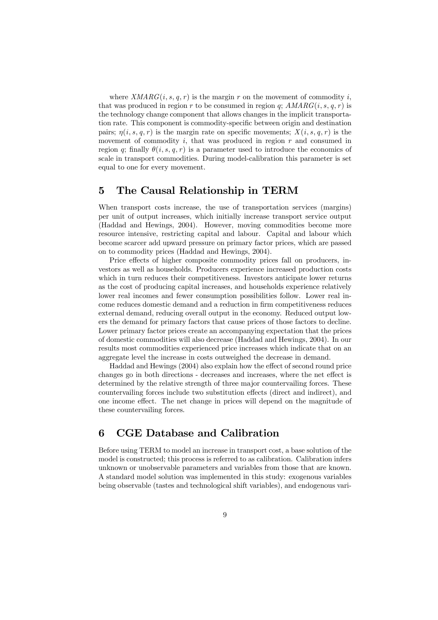where  $XMARG(i, s, q, r)$  is the margin r on the movement of commodity i, that was produced in region r to be consumed in region q;  $AMARG(i, s, q, r)$  is the technology change component that allows changes in the implicit transportation rate. This component is commodity-specific between origin and destination pairs;  $\eta(i, s, q, r)$  is the margin rate on specific movements;  $X(i, s, q, r)$  is the movement of commodity  $i$ , that was produced in region  $r$  and consumed in region q; finally  $\theta(i, s, q, r)$  is a parameter used to introduce the economics of scale in transport commodities. During model-calibration this parameter is set equal to one for every movement.

## 5 The Causal Relationship in TERM

When transport costs increase, the use of transportation services (margins) per unit of output increases, which initially increase transport service output (Haddad and Hewings, 2004). However, moving commodities become more resource intensive, restricting capital and labour. Capital and labour which become scarcer add upward pressure on primary factor prices, which are passed on to commodity prices (Haddad and Hewings, 2004).

Price effects of higher composite commodity prices fall on producers, investors as well as households. Producers experience increased production costs which in turn reduces their competitiveness. Investors anticipate lower returns as the cost of producing capital increases, and households experience relatively lower real incomes and fewer consumption possibilities follow. Lower real income reduces domestic demand and a reduction in firm competitiveness reduces external demand, reducing overall output in the economy. Reduced output lowers the demand for primary factors that cause prices of those factors to decline. Lower primary factor prices create an accompanying expectation that the prices of domestic commodities will also decrease (Haddad and Hewings, 2004). In our results most commodities experienced price increases which indicate that on an aggregate level the increase in costs outweighed the decrease in demand.

Haddad and Hewings (2004) also explain how the effect of second round price changes go in both directions - decreases and increases, where the net effect is determined by the relative strength of three major countervailing forces. These countervailing forces include two substitution effects (direct and indirect), and one income effect. The net change in prices will depend on the magnitude of these countervailing forces.

## 6 CGE Database and Calibration

Before using TERM to model an increase in transport cost, a base solution of the model is constructed; this process is referred to as calibration. Calibration infers unknown or unobservable parameters and variables from those that are known. A standard model solution was implemented in this study: exogenous variables being observable (tastes and technological shift variables), and endogenous vari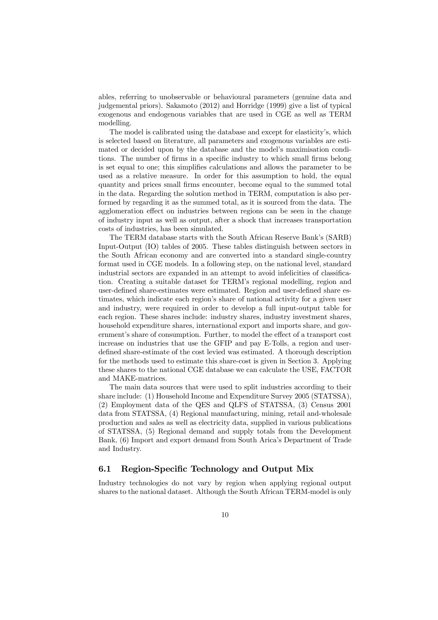ables, referring to unobservable or behavioural parameters (genuine data and judgemental priors). Sakamoto (2012) and Horridge (1999) give a list of typical exogenous and endogenous variables that are used in CGE as well as TERM modelling.

The model is calibrated using the database and except for elasticity's, which is selected based on literature, all parameters and exogenous variables are estimated or decided upon by the database and the model's maximisation conditions. The number of firms in a specific industry to which small firms belong is set equal to one; this simplifies calculations and allows the parameter to be used as a relative measure. In order for this assumption to hold, the equal quantity and prices small firms encounter, become equal to the summed total in the data. Regarding the solution method in TERM, computation is also performed by regarding it as the summed total, as it is sourced from the data. The agglomeration effect on industries between regions can be seen in the change of industry input as well as output, after a shock that increases transportation costs of industries, has been simulated.

The TERM database starts with the South African Reserve Bank's (SARB) Input-Output (IO) tables of 2005. These tables distinguish between sectors in the South African economy and are converted into a standard single-country format used in CGE models. In a following step, on the national level, standard industrial sectors are expanded in an attempt to avoid infelicities of classification. Creating a suitable dataset for TERM's regional modelling, region and user-defined share-estimates were estimated. Region and user-defined share estimates, which indicate each region's share of national activity for a given user and industry, were required in order to develop a full input-output table for each region. These shares include: industry shares, industry investment shares, household expenditure shares, international export and imports share, and government's share of consumption. Further, to model the effect of a transport cost increase on industries that use the GFIP and pay E-Tolls, a region and userdefined share-estimate of the cost levied was estimated. A thorough description for the methods used to estimate this share-cost is given in Section 3. Applying these shares to the national CGE database we can calculate the USE, FACTOR and MAKE-matrices.

The main data sources that were used to split industries according to their share include: (1) Household Income and Expenditure Survey 2005 (STATSSA), (2) Employment data of the QES and QLFS of STATSSA, (3) Census 2001 data from STATSSA, (4) Regional manufacturing, mining, retail and-wholesale production and sales as well as electricity data, supplied in various publications of STATSSA, (5) Regional demand and supply totals from the Development Bank, (6) Import and export demand from South Arica's Department of Trade and Industry.

## 6.1 Region-Specific Technology and Output Mix

Industry technologies do not vary by region when applying regional output shares to the national dataset. Although the South African TERM-model is only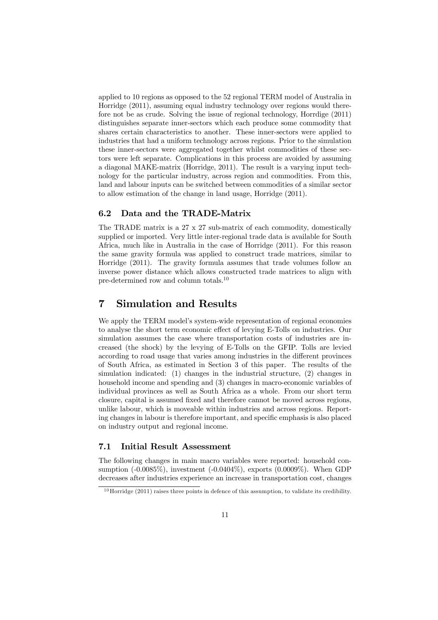applied to 10 regions as opposed to the 52 regional TERM model of Australia in Horridge (2011), assuming equal industry technology over regions would therefore not be as crude. Solving the issue of regional technology, Horrdige (2011) distinguishes separate inner-sectors which each produce some commodity that shares certain characteristics to another. These inner-sectors were applied to industries that had a uniform technology across regions. Prior to the simulation these inner-sectors were aggregated together whilst commodities of these sectors were left separate. Complications in this process are avoided by assuming a diagonal MAKE-matrix (Horridge, 2011). The result is a varying input technology for the particular industry, across region and commodities. From this, land and labour inputs can be switched between commodities of a similar sector to allow estimation of the change in land usage, Horridge (2011).

## 6.2 Data and the TRADE-Matrix

The TRADE matrix is a 27 x 27 sub-matrix of each commodity, domestically supplied or imported. Very little inter-regional trade data is available for South Africa, much like in Australia in the case of Horridge (2011). For this reason the same gravity formula was applied to construct trade matrices, similar to Horridge (2011). The gravity formula assumes that trade volumes follow an inverse power distance which allows constructed trade matrices to align with pre-determined row and column totals.<sup>10</sup>

## 7 Simulation and Results

We apply the TERM model's system-wide representation of regional economies to analyse the short term economic effect of levying E-Tolls on industries. Our simulation assumes the case where transportation costs of industries are increased (the shock) by the levying of E-Tolls on the GFIP. Tolls are levied according to road usage that varies among industries in the different provinces of South Africa, as estimated in Section 3 of this paper. The results of the simulation indicated: (1) changes in the industrial structure, (2) changes in household income and spending and (3) changes in macro-economic variables of individual provinces as well as South Africa as a whole. From our short term closure, capital is assumed fixed and therefore cannot be moved across regions, unlike labour, which is moveable within industries and across regions. Reporting changes in labour is therefore important, and specific emphasis is also placed on industry output and regional income.

## 7.1 Initial Result Assessment

The following changes in main macro variables were reported: household consumption (-0.0085%), investment (-0.0404%), exports (0.0009%). When GDP decreases after industries experience an increase in transportation cost, changes

 $10$  Horridge (2011) raises three points in defence of this assumption, to validate its credibility.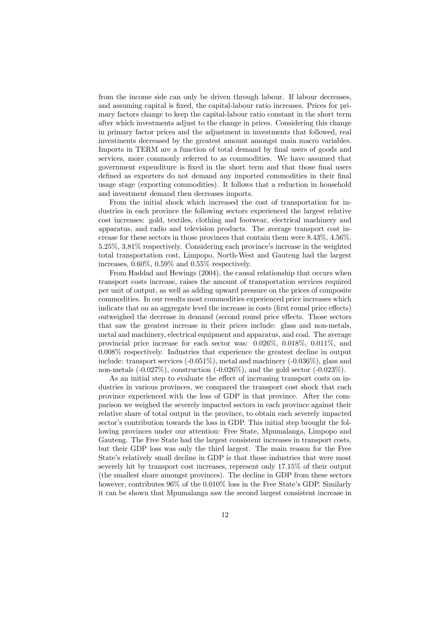from the income side can only be driven through labour. If labour decreases, and assuming capital is fixed, the capital-labour ratio increases. Prices for primary factors change to keep the capital-labour ratio constant in the short term after which investments adjust to the change in prices. Considering this change in primary factor prices and the adjustment in investments that followed, real investments decreased by the greatest amount amongst main macro variables. Imports in TERM are a function of total demand by final users of goods and services, more commonly referred to as commodities. We have assumed that government expenditure is fixed in the short term and that those final users defined as exporters do not demand any imported commodities in their final usage stage (exporting commodities). It follows that a reduction in household and investment demand then decreases imports.

From the initial shock which increased the cost of transportation for industries in each province the following sectors experienced the largest relative cost increases: gold, textiles, clothing and footwear, electrical machinery and apparatus, and radio and television products. The average transport cost increase for these sectors in those provinces that contain them were 8.43%, 4.56%, 5.25%, 3.81% respectively. Considering each province's increase in the weighted total transportation cost, Limpopo, North-West and Gauteng had the largest increases, 0.60%, 0.59% and 0.55% respectively.

From Haddad and Hewings (2004), the causal relationship that occurs when transport costs increase, raises the amount of transportation services required per unit of output, as well as adding upward pressure on the prices of composite commodities. In our results most commodities experienced price increases which indicate that on an aggregate level the increase in costs (first round price effects) outweighed the decrease in demand (second round price effects. Those sectors that saw the greatest increase in their prices include: glass and non-metals, metal and machinery, electrical equipment and apparatus, and coal. The average provincial price increase for each sector was: 0.026%, 0.018%, 0.011%, and 0.008% respectively. Industries that experience the greatest decline in output include: transport services  $(-0.051\%)$ , metal and machinery  $(-0.036\%)$ , glass and non-metals  $(-0.027\%)$ , construction  $(-0.026\%)$ , and the gold sector  $(-0.023\%)$ .

As an initial step to evaluate the effect of increasing transport costs on industries in various provinces, we compared the transport cost shock that each province experienced with the loss of GDP in that province. After the comparison we weighed the severely impacted sectors in each province against their relative share of total output in the province, to obtain each severely impacted sector's contribution towards the loss in GDP. This initial step brought the following provinces under our attention: Free State, Mpumalanga, Limpopo and Gauteng. The Free State had the largest consistent increases in transport costs, but their GDP loss was only the third largest. The main reason for the Free State's relatively small decline in GDP is that those industries that were most severely hit by transport cost increases, represent only 17.15% of their output (the smallest share amongst provinces). The decline in GDP from these sectors however, contributes  $96\%$  of the 0.010% loss in the Free State's GDP. Similarly it can be shown that Mpumalanga saw the second largest consistent increase in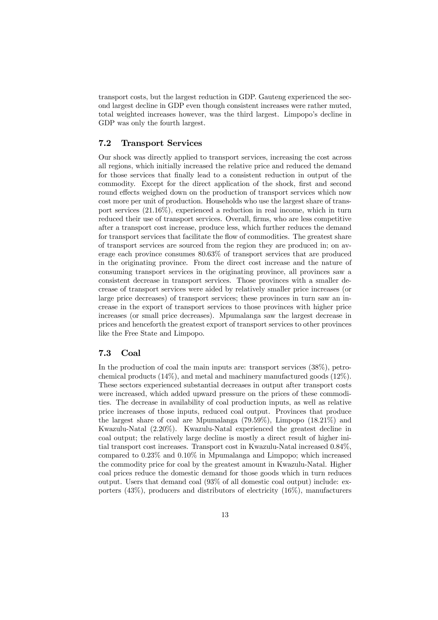transport costs, but the largest reduction in GDP. Gauteng experienced the second largest decline in GDP even though consistent increases were rather muted, total weighted increases however, was the third largest. Limpopo's decline in GDP was only the fourth largest.

## 7.2 Transport Services

Our shock was directly applied to transport services, increasing the cost across all regions, which initially increased the relative price and reduced the demand for those services that finally lead to a consistent reduction in output of the commodity. Except for the direct application of the shock, first and second round effects weighed down on the production of transport services which now cost more per unit of production. Households who use the largest share of transport services (21.16%), experienced a reduction in real income, which in turn reduced their use of transport services. Overall, firms, who are less competitive after a transport cost increase, produce less, which further reduces the demand for transport services that facilitate the flow of commodities. The greatest share of transport services are sourced from the region they are produced in; on average each province consumes 80.63% of transport services that are produced in the originating province. From the direct cost increase and the nature of consuming transport services in the originating province, all provinces saw a consistent decrease in transport services. Those provinces with a smaller decrease of transport services were aided by relatively smaller price increases (or large price decreases) of transport services; these provinces in turn saw an increase in the export of transport services to those provinces with higher price increases (or small price decreases). Mpumalanga saw the largest decrease in prices and henceforth the greatest export of transport services to other provinces like the Free State and Limpopo.

## 7.3 Coal

In the production of coal the main inputs are: transport services (38%), petrochemical products  $(14\%)$ , and metal and machinery manufactured goods  $(12\%)$ . These sectors experienced substantial decreases in output after transport costs were increased, which added upward pressure on the prices of these commodities. The decrease in availability of coal production inputs, as well as relative price increases of those inputs, reduced coal output. Provinces that produce the largest share of coal are Mpumalanga (79.59%), Limpopo (18.21%) and Kwazulu-Natal (2.20%). Kwazulu-Natal experienced the greatest decline in coal output; the relatively large decline is mostly a direct result of higher initial transport cost increases. Transport cost in Kwazulu-Natal increased 0.84%, compared to 0.23% and 0.10% in Mpumalanga and Limpopo; which increased the commodity price for coal by the greatest amount in Kwazulu-Natal. Higher coal prices reduce the domestic demand for those goods which in turn reduces output. Users that demand coal (93% of all domestic coal output) include: exporters (43%), producers and distributors of electricity (16%), manufacturers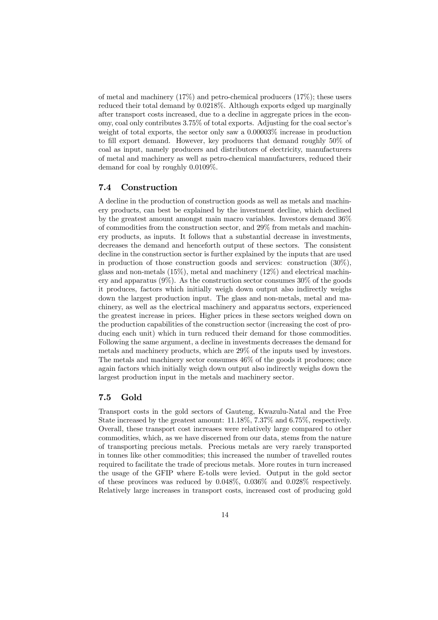of metal and machinery  $(17\%)$  and petro-chemical producers  $(17\%)$ ; these users reduced their total demand by 0.0218%. Although exports edged up marginally after transport costs increased, due to a decline in aggregate prices in the economy, coal only contributes 3.75% of total exports. Adjusting for the coal sector's weight of total exports, the sector only saw a 0.00003% increase in production to fill export demand. However, key producers that demand roughly 50% of coal as input, namely producers and distributors of electricity, manufacturers of metal and machinery as well as petro-chemical manufacturers, reduced their demand for coal by roughly 0.0109%.

#### 7.4 Construction

A decline in the production of construction goods as well as metals and machinery products, can best be explained by the investment decline, which declined by the greatest amount amongst main macro variables. Investors demand 36% of commodities from the construction sector, and 29% from metals and machinery products, as inputs. It follows that a substantial decrease in investments, decreases the demand and henceforth output of these sectors. The consistent decline in the construction sector is further explained by the inputs that are used in production of those construction goods and services: construction (30%), glass and non-metals  $(15\%)$ , metal and machinery  $(12\%)$  and electrical machinery and apparatus  $(9\%)$ . As the construction sector consumes  $30\%$  of the goods it produces, factors which initially weigh down output also indirectly weighs down the largest production input. The glass and non-metals, metal and machinery, as well as the electrical machinery and apparatus sectors, experienced the greatest increase in prices. Higher prices in these sectors weighed down on the production capabilities of the construction sector (increasing the cost of producing each unit) which in turn reduced their demand for those commodities. Following the same argument, a decline in investments decreases the demand for metals and machinery products, which are 29% of the inputs used by investors. The metals and machinery sector consumes 46% of the goods it produces; once again factors which initially weigh down output also indirectly weighs down the largest production input in the metals and machinery sector.

## 7.5 Gold

Transport costs in the gold sectors of Gauteng, Kwazulu-Natal and the Free State increased by the greatest amount: 11.18%, 7.37% and 6.75%, respectively. Overall, these transport cost increases were relatively large compared to other commodities, which, as we have discerned from our data, stems from the nature of transporting precious metals. Precious metals are very rarely transported in tonnes like other commodities; this increased the number of travelled routes required to facilitate the trade of precious metals. More routes in turn increased the usage of the GFIP where E-tolls were levied. Output in the gold sector of these provinces was reduced by 0.048%, 0.036% and 0.028% respectively. Relatively large increases in transport costs, increased cost of producing gold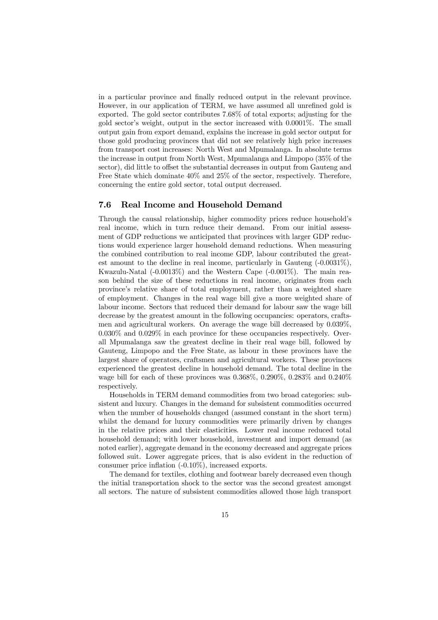in a particular province and finally reduced output in the relevant province. However, in our application of TERM, we have assumed all unrefined gold is exported. The gold sector contributes 7.68% of total exports; adjusting for the gold sector's weight, output in the sector increased with 0.0001%. The small output gain from export demand, explains the increase in gold sector output for those gold producing provinces that did not see relatively high price increases from transport cost increases: North West and Mpumalanga. In absolute terms the increase in output from North West, Mpumalanga and Limpopo (35% of the sector), did little to offset the substantial decreases in output from Gauteng and Free State which dominate 40% and 25% of the sector, respectively. Therefore, concerning the entire gold sector, total output decreased.

#### 7.6 Real Income and Household Demand

Through the causal relationship, higher commodity prices reduce household's real income, which in turn reduce their demand. From our initial assessment of GDP reductions we anticipated that provinces with larger GDP reductions would experience larger household demand reductions. When measuring the combined contribution to real income GDP, labour contributed the greatest amount to the decline in real income, particularly in Gauteng (-0.0031%), Kwazulu-Natal  $(-0.0013\%)$  and the Western Cape  $(-0.001\%)$ . The main reason behind the size of these reductions in real income, originates from each province's relative share of total employment, rather than a weighted share of employment. Changes in the real wage bill give a more weighted share of labour income. Sectors that reduced their demand for labour saw the wage bill decrease by the greatest amount in the following occupancies: operators, craftsmen and agricultural workers. On average the wage bill decreased by 0.039%, 0.030% and 0.029% in each province for these occupancies respectively. Overall Mpumalanga saw the greatest decline in their real wage bill, followed by Gauteng, Limpopo and the Free State, as labour in these provinces have the largest share of operators, craftsmen and agricultural workers. These provinces experienced the greatest decline in household demand. The total decline in the wage bill for each of these provinces was  $0.368\%$ ,  $0.290\%$ ,  $0.283\%$  and  $0.240\%$ respectively.

Households in TERM demand commodities from two broad categories: subsistent and luxury. Changes in the demand for subsistent commodities occurred when the number of households changed (assumed constant in the short term) whilst the demand for luxury commodities were primarily driven by changes in the relative prices and their elasticities. Lower real income reduced total household demand; with lower household, investment and import demand (as noted earlier), aggregate demand in the economy decreased and aggregate prices followed suit. Lower aggregate prices, that is also evident in the reduction of consumer price inflation (-0.10%), increased exports.

The demand for textiles, clothing and footwear barely decreased even though the initial transportation shock to the sector was the second greatest amongst all sectors. The nature of subsistent commodities allowed those high transport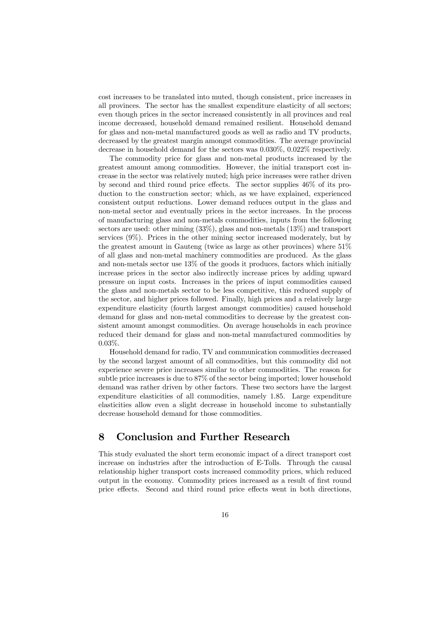cost increases to be translated into muted, though consistent, price increases in all provinces. The sector has the smallest expenditure elasticity of all sectors; even though prices in the sector increased consistently in all provinces and real income decreased, household demand remained resilient. Household demand for glass and non-metal manufactured goods as well as radio and TV products, decreased by the greatest margin amongst commodities. The average provincial decrease in household demand for the sectors was 0.030%, 0.022% respectively.

The commodity price for glass and non-metal products increased by the greatest amount among commodities. However, the initial transport cost increase in the sector was relatively muted; high price increases were rather driven by second and third round price effects. The sector supplies 46% of its production to the construction sector; which, as we have explained, experienced consistent output reductions. Lower demand reduces output in the glass and non-metal sector and eventually prices in the sector increases. In the process of manufacturing glass and non-metals commodities, inputs from the following sectors are used: other mining (33%), glass and non-metals (13%) and transport services (9%). Prices in the other mining sector increased moderately, but by the greatest amount in Gauteng (twice as large as other provinces) where 51% of all glass and non-metal machinery commodities are produced. As the glass and non-metals sector use 13% of the goods it produces, factors which initially increase prices in the sector also indirectly increase prices by adding upward pressure on input costs. Increases in the prices of input commodities caused the glass and non-metals sector to be less competitive, this reduced supply of the sector, and higher prices followed. Finally, high prices and a relatively large expenditure elasticity (fourth largest amongst commodities) caused household demand for glass and non-metal commodities to decrease by the greatest consistent amount amongst commodities. On average households in each province reduced their demand for glass and non-metal manufactured commodities by 0.03%.

Household demand for radio, TV and communication commodities decreased by the second largest amount of all commodities, but this commodity did not experience severe price increases similar to other commodities. The reason for subtle price increases is due to 87% of the sector being imported; lower household demand was rather driven by other factors. These two sectors have the largest expenditure elasticities of all commodities, namely 1.85. Large expenditure elasticities allow even a slight decrease in household income to substantially decrease household demand for those commodities.

## 8 Conclusion and Further Research

This study evaluated the short term economic impact of a direct transport cost increase on industries after the introduction of E-Tolls. Through the causal relationship higher transport costs increased commodity prices, which reduced output in the economy. Commodity prices increased as a result of first round price effects. Second and third round price effects went in both directions,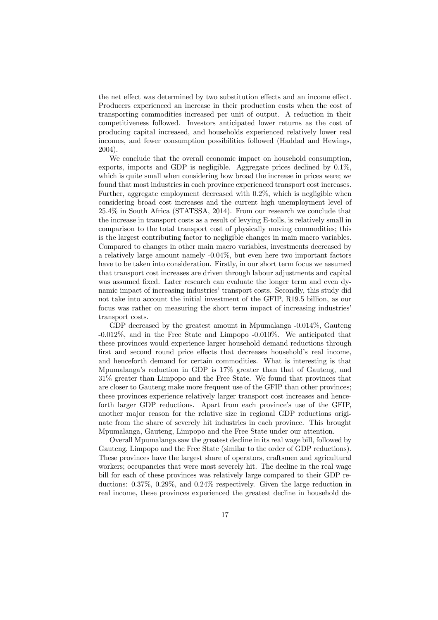the net effect was determined by two substitution effects and an income effect. Producers experienced an increase in their production costs when the cost of transporting commodities increased per unit of output. A reduction in their competitiveness followed. Investors anticipated lower returns as the cost of producing capital increased, and households experienced relatively lower real incomes, and fewer consumption possibilities followed (Haddad and Hewings, 2004).

We conclude that the overall economic impact on household consumption, exports, imports and GDP is negligible. Aggregate prices declined by 0.1%, which is quite small when considering how broad the increase in prices were; we found that most industries in each province experienced transport cost increases. Further, aggregate employment decreased with 0.2%, which is negligible when considering broad cost increases and the current high unemployment level of 25.4% in South Africa (STATSSA, 2014). From our research we conclude that the increase in transport costs as a result of levying E-tolls, is relatively small in comparison to the total transport cost of physically moving commodities; this is the largest contributing factor to negligible changes in main macro variables. Compared to changes in other main macro variables, investments decreased by a relatively large amount namely -0.04%, but even here two important factors have to be taken into consideration. Firstly, in our short term focus we assumed that transport cost increases are driven through labour adjustments and capital was assumed fixed. Later research can evaluate the longer term and even dynamic impact of increasing industries' transport costs. Secondly, this study did not take into account the initial investment of the GFIP, R19.5 billion, as our focus was rather on measuring the short term impact of increasing industries' transport costs.

GDP decreased by the greatest amount in Mpumalanga -0.014%, Gauteng -0.012%, and in the Free State and Limpopo -0.010%. We anticipated that these provinces would experience larger household demand reductions through first and second round price effects that decreases household's real income, and henceforth demand for certain commodities. What is interesting is that Mpumalanga's reduction in GDP is 17% greater than that of Gauteng, and 31% greater than Limpopo and the Free State. We found that provinces that are closer to Gauteng make more frequent use of the GFIP than other provinces; these provinces experience relatively larger transport cost increases and henceforth larger GDP reductions. Apart from each province's use of the GFIP, another major reason for the relative size in regional GDP reductions originate from the share of severely hit industries in each province. This brought Mpumalanga, Gauteng, Limpopo and the Free State under our attention.

Overall Mpumalanga saw the greatest decline in its real wage bill, followed by Gauteng, Limpopo and the Free State (similar to the order of GDP reductions). These provinces have the largest share of operators, craftsmen and agricultural workers; occupancies that were most severely hit. The decline in the real wage bill for each of these provinces was relatively large compared to their GDP reductions: 0.37%, 0.29%, and 0.24% respectively. Given the large reduction in real income, these provinces experienced the greatest decline in household de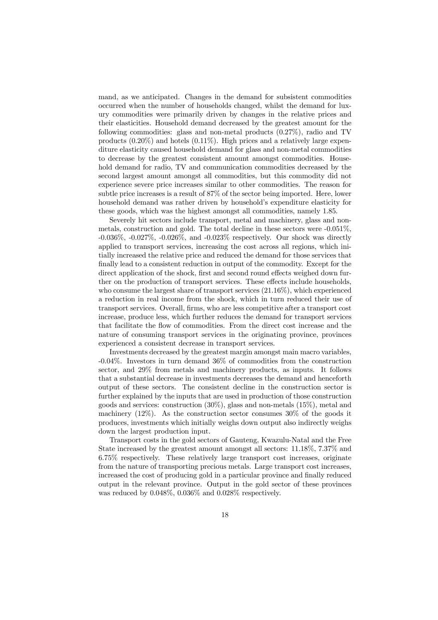mand, as we anticipated. Changes in the demand for subsistent commodities occurred when the number of households changed, whilst the demand for luxury commodities were primarily driven by changes in the relative prices and their elasticities. Household demand decreased by the greatest amount for the following commodities: glass and non-metal products (0.27%), radio and TV products  $(0.20\%)$  and hotels  $(0.11\%)$ . High prices and a relatively large expenditure elasticity caused household demand for glass and non-metal commodities to decrease by the greatest consistent amount amongst commodities. Household demand for radio, TV and communication commodities decreased by the second largest amount amongst all commodities, but this commodity did not experience severe price increases similar to other commodities. The reason for subtle price increases is a result of 87% of the sector being imported. Here, lower household demand was rather driven by household's expenditure elasticity for these goods, which was the highest amongst all commodities, namely 1.85.

Severely hit sectors include transport, metal and machinery, glass and nonmetals, construction and gold. The total decline in these sectors were -0.051%, -0.036%, -0.027%, -0.026%, and -0.023% respectively. Our shock was directly applied to transport services, increasing the cost across all regions, which initially increased the relative price and reduced the demand for those services that finally lead to a consistent reduction in output of the commodity. Except for the direct application of the shock, first and second round effects weighed down further on the production of transport services. These effects include households, who consume the largest share of transport services (21.16%), which experienced a reduction in real income from the shock, which in turn reduced their use of transport services. Overall, firms, who are less competitive after a transport cost increase, produce less, which further reduces the demand for transport services that facilitate the flow of commodities. From the direct cost increase and the nature of consuming transport services in the originating province, provinces experienced a consistent decrease in transport services.

Investments decreased by the greatest margin amongst main macro variables, -0.04%. Investors in turn demand 36% of commodities from the construction sector, and 29% from metals and machinery products, as inputs. It follows that a substantial decrease in investments decreases the demand and henceforth output of these sectors. The consistent decline in the construction sector is further explained by the inputs that are used in production of those construction goods and services: construction (30%), glass and non-metals (15%), metal and machinery  $(12\%)$ . As the construction sector consumes  $30\%$  of the goods it produces, investments which initially weighs down output also indirectly weighs down the largest production input.

Transport costs in the gold sectors of Gauteng, Kwazulu-Natal and the Free State increased by the greatest amount amongst all sectors: 11.18%, 7.37% and 6.75% respectively. These relatively large transport cost increases, originate from the nature of transporting precious metals. Large transport cost increases, increased the cost of producing gold in a particular province and finally reduced output in the relevant province. Output in the gold sector of these provinces was reduced by 0.048%, 0.036% and 0.028% respectively.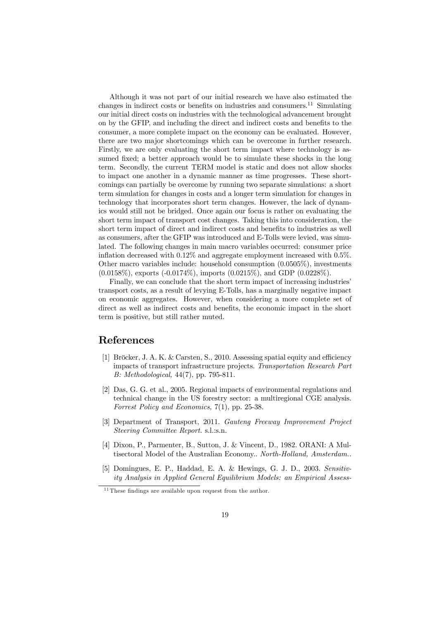Although it was not part of our initial research we have also estimated the changes in indirect costs or benefits on industries and consumers.<sup>11</sup> Simulating our initial direct costs on industries with the technological advancement brought on by the GFIP, and including the direct and indirect costs and benefits to the consumer, a more complete impact on the economy can be evaluated. However, there are two major shortcomings which can be overcome in further research. Firstly, we are only evaluating the short term impact where technology is assumed fixed; a better approach would be to simulate these shocks in the long term. Secondly, the current TERM model is static and does not allow shocks to impact one another in a dynamic manner as time progresses. These shortcomings can partially be overcome by running two separate simulations: a short term simulation for changes in costs and a longer term simulation for changes in technology that incorporates short term changes. However, the lack of dynamics would still not be bridged. Once again our focus is rather on evaluating the short term impact of transport cost changes. Taking this into consideration, the short term impact of direct and indirect costs and benefits to industries as well as consumers, after the GFIP was introduced and E-Tolls were levied, was simulated. The following changes in main macro variables occurred: consumer price inflation decreased with 0.12% and aggregate employment increased with 0.5%. Other macro variables include: household consumption (0.0505%), investments  $(0.0158\%)$ , exports  $(-0.0174\%)$ , imports  $(0.0215\%)$ , and GDP  $(0.0228\%)$ .

Finally, we can conclude that the short term impact of increasing industries' transport costs, as a result of levying E-Tolls, has a marginally negative impact on economic aggregates. However, when considering a more complete set of direct as well as indirect costs and benefits, the economic impact in the short term is positive, but still rather muted.

## References

- [1] Bröcker, J. A. K. & Carsten, S., 2010. Assessing spatial equity and efficiency impacts of transport infrastructure projects. Transportation Research Part B: Methodological, 44(7), pp. 795-811.
- [2] Das, G. G. et al., 2005. Regional impacts of environmental regulations and technical change in the US forestry sector: a multiregional CGE analysis. Forrest Policy and Economics, 7(1), pp. 25-38.
- [3] Department of Transport, 2011. Gauteng Freeway Improvement Project Steering Committee Report. s.l.:s.n.
- [4] Dixon, P., Parmenter, B., Sutton, J. & Vincent, D., 1982. ORANI: A Multisectoral Model of the Australian Economy.. North-Holland, Amsterdam..
- [5] Domingues, E. P., Haddad, E. A. & Hewings, G. J. D., 2003. Sensitivity Analysis in Applied General Equilibrium Models: an Empirical Assess-

 $^{11}\mathrm{These}$  findings are available upon request from the author.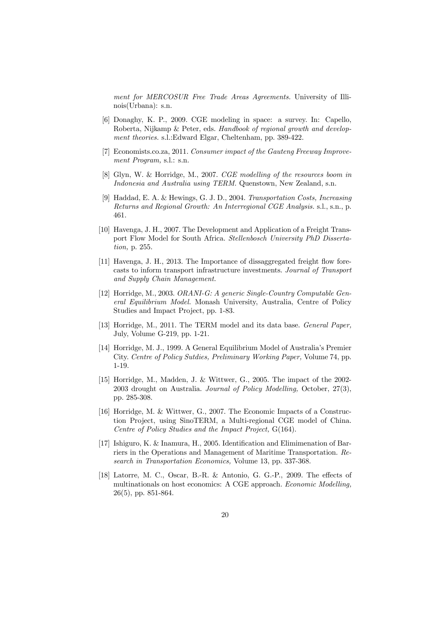ment for MERCOSUR Free Trade Areas Agreements. University of Illinois(Urbana): s.n.

- [6] Donaghy, K. P., 2009. CGE modeling in space: a survey. In: Capello, Roberta, Nijkamp & Peter, eds. Handbook of regional growth and development theories. s.l.:Edward Elgar, Cheltenham, pp. 389-422.
- [7] Economists.co.za, 2011. Consumer impact of the Gauteng Freeway Improvement Program, s.l.: s.n.
- [8] Glyn, W. & Horridge, M., 2007. CGE modelling of the resources boom in Indonesia and Australia using TERM. Quenstown, New Zealand, s.n.
- [9] Haddad, E. A. & Hewings, G. J. D., 2004. Transportation Costs, Increasing Returns and Regional Growth: An Interregional CGE Analysis. s.l., s.n., p. 461.
- [10] Havenga, J. H., 2007. The Development and Application of a Freight Transport Flow Model for South Africa. Stellenbosch University PhD Dissertation, p. 255.
- [11] Havenga, J. H., 2013. The Importance of dissaggregated freight flow forecasts to inform transport infrastructure investments. Journal of Transport and Supply Chain Management.
- [12] Horridge, M., 2003. ORANI-G: A generic Single-Country Computable General Equilibrium Model. Monash University, Australia, Centre of Policy Studies and Impact Project, pp. 1-83.
- [13] Horridge, M., 2011. The TERM model and its data base. *General Paper*, July, Volume G-219, pp. 1-21.
- [14] Horridge, M. J., 1999. A General Equilibrium Model of Australia's Premier City. Centre of Policy Sutdies, Preliminary Working Paper, Volume 74, pp. 1-19.
- [15] Horridge, M., Madden, J. & Wittwer, G., 2005. The impact of the 2002- 2003 drought on Australia. Journal of Policy Modelling, October, 27(3), pp. 285-308.
- [16] Horridge, M. & Wittwer, G., 2007. The Economic Impacts of a Construction Project, using SinoTERM, a Multi-regional CGE model of China. Centre of Policy Studies and the Impact Project, G(164).
- [17] Ishiguro, K. & Inamura, H., 2005. Identification and Elimimenation of Barriers in the Operations and Management of Maritime Transportation. Research in Transportation Economics, Volume 13, pp. 337-368.
- [18] Latorre, M. C., Oscar, B.-R. & Antonio, G. G.-P., 2009. The effects of multinationals on host economics: A CGE approach. Economic Modelling, 26(5), pp. 851-864.